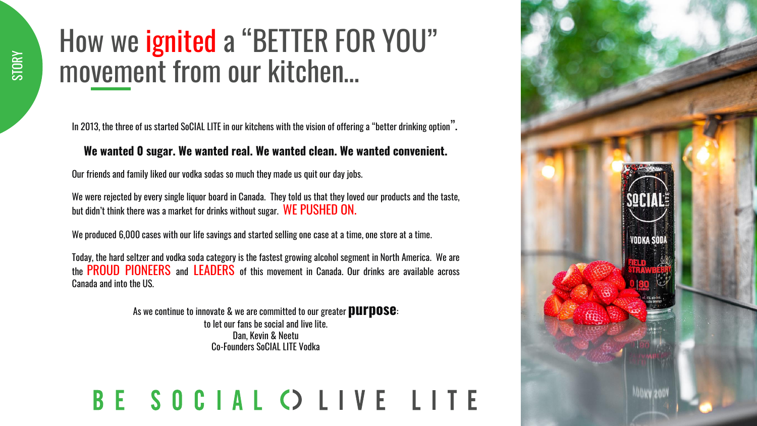### How we ignited a "BETTER FOR YOU" movement from our kitchen…

In 2013, the three of us started SoCIAL LITE in our kitchens with the vision of offering a "better drinking option".

#### **We wanted 0 sugar. We wanted real. We wanted clean. We wanted convenient.**

Our friends and family liked our vodka sodas so much they made us quit our day jobs.

We were rejected by every single liquor board in Canada. They told us that they loved our products and the taste, but didn't think there was a market for drinks without sugar. WE PUSHED ON.

We produced 6,000 cases with our life savings and started selling one case at a time, one store at a time.

Today, the hard seltzer and vodka soda category is the fastest growing alcohol segment in North America. We are the PROUD PIONEERS and LEADERS of this movement in Canada. Our drinks are available across Canada and into the US.

> As we continue to innovate & we are committed to our greater **purpose**: to let our fans be social and live lite. Dan, Kevin & Neetu Co-Founders SoCIAL LITE Vodka

### BE SOCIAL O LIVE LITE

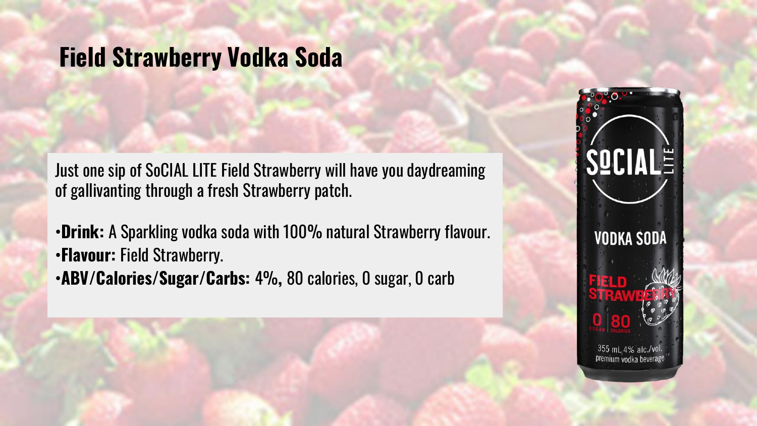# **Field Strawberry Vodka Soda**

Just one sip of SoCIAL LITE Field Strawberry will have you daydreaming of gallivanting through a fresh Strawberry patch.

- •**Drink:** A Sparkling vodka soda with 100% natural Strawberry flavour. •**Flavour:** Field Strawberry.
- •**ABV/Calories/Sugar/Carbs:** 4%**,** 80 calories, 0 sugar, 0 carb

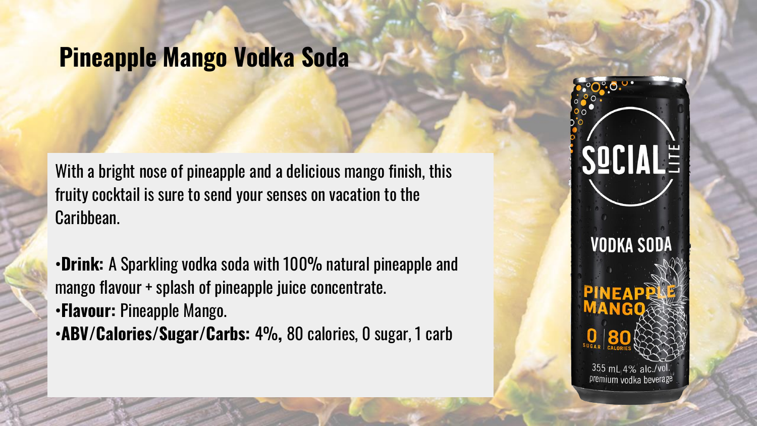### **Pineapple Mango Vodka Soda**

With a bright nose of pineapple and a delicious mango finish, this fruity cocktail is sure to send your senses on vacation to the Caribbean.

- •**Drink:** A Sparkling vodka soda with 100% natural pineapple and mango flavour + splash of pineapple juice concentrate. •**Flavour:** Pineapple Mango.
- •**ABV/Calories/Sugar/Carbs:** 4%**,** 80 calories, 0 sugar, 1 carb

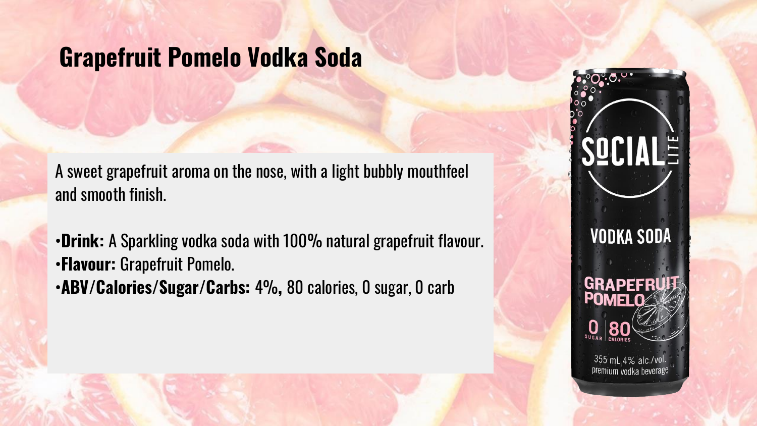### **Grapefruit Pomelo Vodka Soda**

A sweet grapefruit aroma on the nose, with a light bubbly mouthfeel and smooth finish.

- •**Drink:** A Sparkling vodka soda with 100% natural grapefruit flavour. •**Flavour:** Grapefruit Pomelo.
- •**ABV/Calories/Sugar/Carbs:** 4%**,** 80 calories, 0 sugar, 0 carb

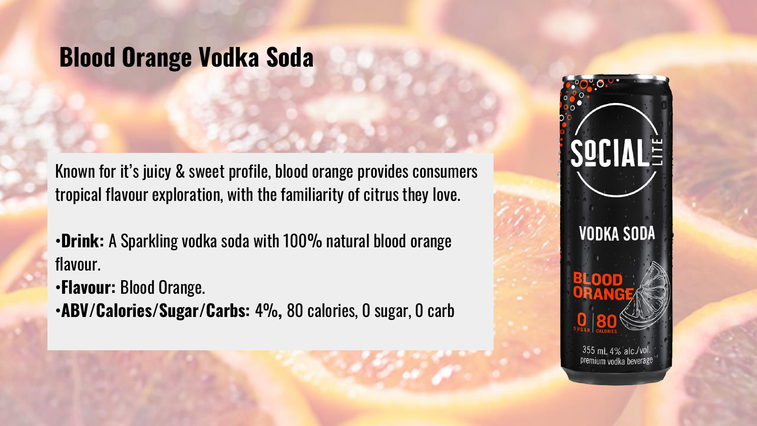### **Blood Orange Vodka Soda**

Known for it's juicy & sweet profile, blood orange provides consumers tropical flavour exploration, with the familiarity of citrus they love.

•**Drink:** A Sparkling vodka soda with 100% natural blood orange flavour.

•**Flavour:** Blood Orange.

•**ABV/Calories/Sugar/Carbs:** 4%**,** 80 calories, 0 sugar, 0 carb

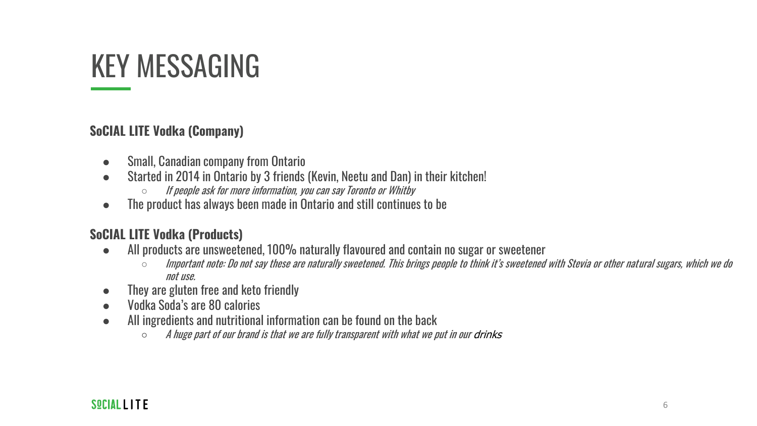## KEY MESSAGING

### **SoCIAL LITE Vodka (Company)**

- Small, Canadian company from Ontario
- Started in 2014 in Ontario by 3 friends (Kevin, Neetu and Dan) in their kitchen!
	- If people ask for more information, you can say Toronto or Whitby
- The product has always been made in Ontario and still continues to be

### **SoCIAL LITE Vodka (Products)**

- All products are unsweetened, 100% naturally flavoured and contain no sugar or sweetener
	- $\circ$  Important note: Do not say these are naturally sweetened. This brings people to think it's sweetened with Stevia or other natural sugars, which we do not use.
- They are gluten free and keto friendly
- Vodka Soda's are 80 calories
- All ingredients and nutritional information can be found on the back
	- $\circ$  A huge part of our brand is that we are fully transparent with what we put in our drinks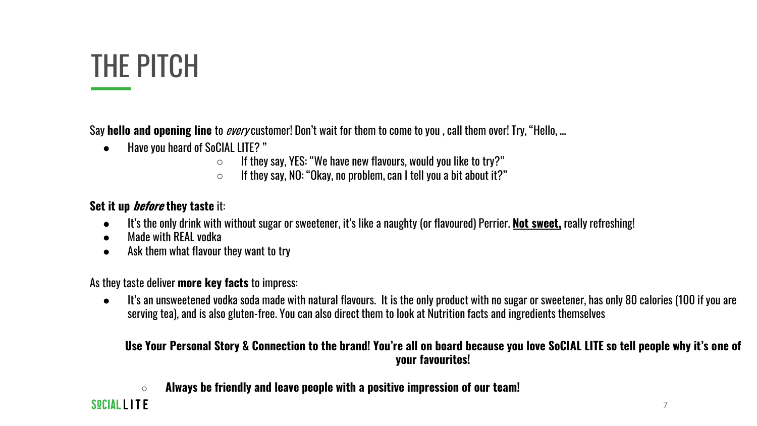## THE PITCH

Say **hello and opening line** to every customer! Don't wait for them to come to you , call them over! Try, "Hello, …

- Have you heard of SoCIAL LITE? "
	- $\circ$  If they say, YES: "We have new flavours, would you like to try?"
	- $\circ$  If they say, NO: "Okay, no problem, can I tell you a bit about it?"

### **Set it up before they taste** it:

- It's the only drink with without sugar or sweetener, it's like a naughty (or flavoured) Perrier. **Not sweet,** really refreshing!
- Made with REAL vodka
- Ask them what flavour they want to try

As they taste deliver **more key facts** to impress:

● It's an unsweetened vodka soda made with natural flavours. It is the only product with no sugar or sweetener, has only 80 calories (100 if you are serving tea), and is also gluten-free. You can also direct them to look at Nutrition facts and ingredients themselves

#### **Use Your Personal Story & Connection to the brand! You're all on board because you love SoCIAL LITE so tell people why it's one of your favourites!**

○ **Always be friendly and leave people with a positive impression of our team!**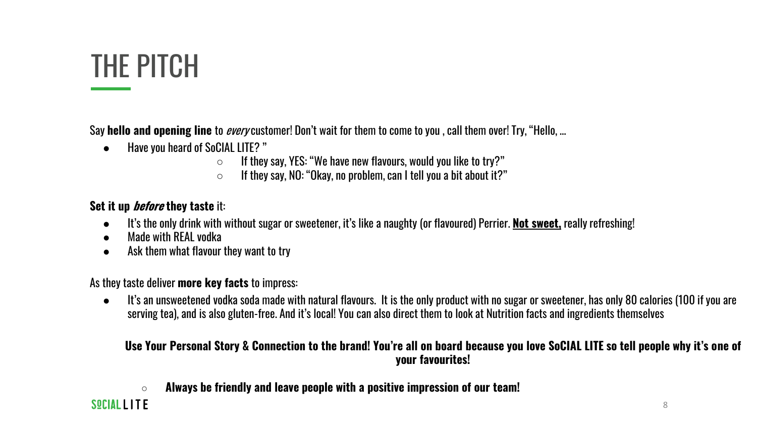## THE PITCH

Say **hello and opening line** to every customer! Don't wait for them to come to you , call them over! Try, "Hello, …

- Have you heard of SoCIAL LITE? "
	- $\circ$  If they say, YES: "We have new flavours, would you like to try?"
	- $\circ$  If they say, NO: "Okay, no problem, can I tell you a bit about it?"

### **Set it up before they taste** it:

- It's the only drink with without sugar or sweetener, it's like a naughty (or flavoured) Perrier. **Not sweet,** really refreshing!
- Made with REAL vodka
- Ask them what flavour they want to try

As they taste deliver **more key facts** to impress:

● It's an unsweetened vodka soda made with natural flavours. It is the only product with no sugar or sweetener, has only 80 calories (100 if you are serving tea), and is also gluten-free. And it's local! You can also direct them to look at Nutrition facts and ingredients themselves

#### **Use Your Personal Story & Connection to the brand! You're all on board because you love SoCIAL LITE so tell people why it's one of your favourites!**

○ **Always be friendly and leave people with a positive impression of our team!**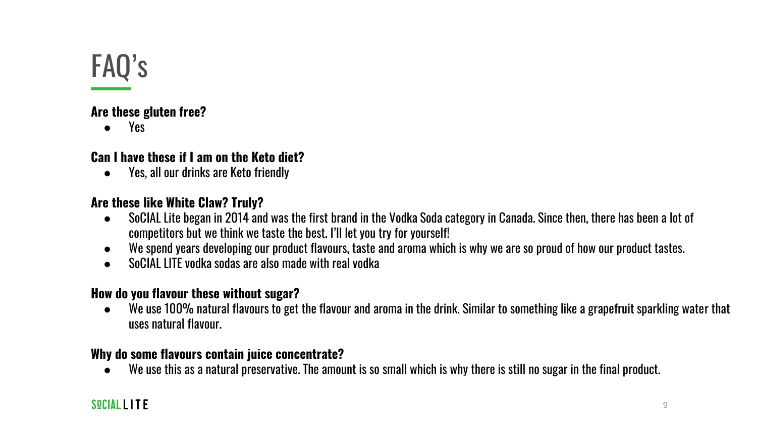## FAQ's

### **Are these gluten free?**

Yes

### **Can I have these if I am on the Keto diet?**

● Yes, all our drinks are Keto friendly

### **Are these like White Claw? Truly?**

- SoCIAL Lite began in 2014 and was the first brand in the Vodka Soda category in Canada. Since then, there has been a lot of competitors but we think we taste the best. I'll let you try for yourself!
- We spend years developing our product flavours, taste and aroma which is why we are so proud of how our product tastes.
- SoCIAL LITE vodka sodas are also made with real vodka

### **How do you flavour these without sugar?**

● We use 100% natural flavours to get the flavour and aroma in the drink. Similar to something like a grapefruit sparkling water that uses natural flavour.

### **Why do some flavours contain juice concentrate?**

● We use this as a natural preservative. The amount is so small which is why there is still no sugar in the final product.